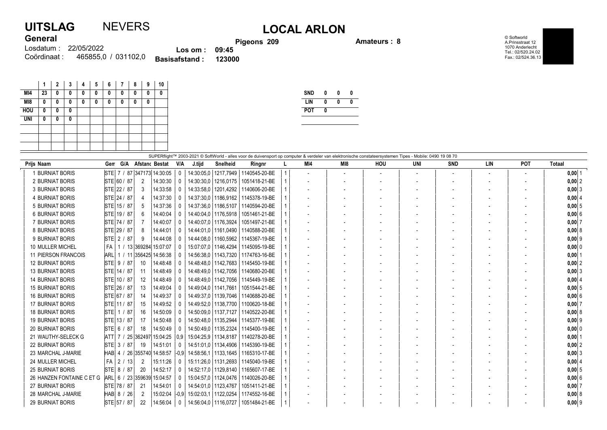## UITSLAG NEVERS LOCAL ARLON **General**

Pigeons 209 Amateurs : 8

© Softworld A.Prinsstraat 12 1070 Anderlecht Tel.: 02/520.24.02 Fax.: 02/524.36.13

| <b>VUIVIUI</b> |                                 |                                | <b>Pig</b> |
|----------------|---------------------------------|--------------------------------|------------|
|                | Losdatum: 22/05/2022            | $\textsf{Los om}: \quad 09:45$ |            |
|                | Coördinaat: 465855,0 / 031102,0 | Basisafstand: 123000           |            |

|                 | 1  | $\mathbf{2}$ | 3 | 4 | 5 | 6 | 7 | 8 | 9 | 10 |
|-----------------|----|--------------|---|---|---|---|---|---|---|----|
| MI4             | 23 | 0            | 0 | 0 | 0 | 0 | 0 | 0 | 0 | 0  |
| M <sub>18</sub> | 0  | 0            | 0 | 0 | 0 | 0 | 0 | 0 | 0 |    |
| <b>HOU</b>      | 0  | 0            | 0 |   |   |   |   |   |   |    |
| <b>UNI</b>      | 0  | 0            | 0 |   |   |   |   |   |   |    |
|                 |    |              |   |   |   |   |   |   |   |    |
|                 |    |              |   |   |   |   |   |   |   |    |
|                 |    |              |   |   |   |   |   |   |   |    |

| <b>SND</b> | 0 | Λ | Λ |
|------------|---|---|---|
| LIN        | N | Λ | Λ |
| <b>POT</b> | N |   |   |
|            |   |   |   |

| SUPERflight™ 2003-2021 © SoftWorld - alles voor de duivensport op computer & verdeler van elektronische constateersystemen Tipes - Mobile: 0490 19 08 70 |                            |                            |                            |                         |                              |                        |                                        |  |     |     |     |     |            |            |                          |               |
|----------------------------------------------------------------------------------------------------------------------------------------------------------|----------------------------|----------------------------|----------------------------|-------------------------|------------------------------|------------------------|----------------------------------------|--|-----|-----|-----|-----|------------|------------|--------------------------|---------------|
|                                                                                                                                                          | Priis Naam                 | G/A<br>Gen                 | Afstanc Bestat             | <b>V/A</b>              | J.tijd                       | <b>Snelheid</b>        | Ringnr                                 |  | MI4 | MI8 | HOU | UNI | <b>SND</b> | <b>LIN</b> | <b>POT</b>               | <b>Totaal</b> |
|                                                                                                                                                          | <b>BURNIAT BORIS</b>       | STE 7 / 87 347173 14:30:05 |                            |                         | 14:30:05.0                   | 1217.7949              | 1140545-20-BE                          |  |     |     |     |     |            |            | $\overline{\phantom{a}}$ | $0,00$ 1      |
|                                                                                                                                                          | 2 BURNIAT BORIS            | STE 60 / 87                | 14:30:30<br>$\overline{2}$ | $^{\circ}$              | 14:30:30.0                   | 1216.0175              | 1051418-21-BE                          |  |     |     |     |     |            |            |                          | $0,00$ 2      |
|                                                                                                                                                          | <b>3 BURNIAT BORIS</b>     | STE 22 / 87                | 3                          | 14:33:58<br>$\Omega$    |                              | 14:33:58,0   1201,4292 | 1140606-20-BE                          |  |     |     |     |     |            |            |                          | 0,00 3        |
|                                                                                                                                                          | 4 BURNIAT BORIS            | STE 24 / 87                | 14:37:30<br>4              | 0                       | 14:37:30.0                   | 1186,9162              | 1145378-19-BE                          |  |     |     |     |     |            |            |                          | 0,00   4      |
|                                                                                                                                                          | 5 BURNIAT BORIS            | STE 15 / 87                | 5                          | 14:37:36                |                              | 14:37:36.0   1186.5107 | 1140594-20-BE                          |  |     |     |     |     |            |            |                          | $0,00$ 5      |
|                                                                                                                                                          | <b>6 BURNIAT BORIS</b>     | STE 19 / 87                | 14:40:04<br>6              |                         |                              | 14:40:04.0   1176.5918 | 1051461-21-BE                          |  |     |     |     |     |            |            |                          | 0,006         |
|                                                                                                                                                          | 7 BURNIAT BORIS            | STE 74 / 87                | 14:40:07                   | 0                       |                              | 14:40:07.0   1176.3924 | 1051497-21-BE                          |  |     |     |     |     |            |            |                          | $0,00$ 7      |
|                                                                                                                                                          | 8 BURNIAT BORIS            | STE 29 / 87                | 14:44:01<br>8              | $^{\circ}$              |                              | 14:44:01.0   1161.0490 | 1140588-20-BE                          |  |     |     |     |     |            |            |                          | 0,00   8      |
|                                                                                                                                                          | 9 BURNIAT BORIS            | STE 2 / 87                 | 9<br>14:44:08              |                         |                              | 14:44:08.0   1160.5962 | 1145367-19-BE                          |  |     |     |     |     |            |            |                          | $0,00$ 9      |
|                                                                                                                                                          | 10 MULLER MICHEL           | l FA l                     | 1 / 13 369284 15:07:07     | 0                       |                              |                        | 15:07:07.0   1146.4294   1145095-19-BE |  |     |     |     |     |            |            |                          | 0,00 0        |
|                                                                                                                                                          | <b>11 PIERSON FRANCOIS</b> | ARL I                      | 1 / 11 356425 14:56:38     |                         |                              | 14:56:38.0   1143.7320 | 1174763-16-BE                          |  |     |     |     |     |            |            |                          | $0,00$        |
|                                                                                                                                                          | <b>12 BURNIAT BORIS</b>    | STE 9 / 87                 | 10                         | 14:48:48                |                              | 14:48:48.0   1142.7683 | 1145450-19-BE                          |  |     |     |     |     |            |            |                          | $0,00$  2     |
|                                                                                                                                                          | <b>13 BURNIAT BORIS</b>    | STE 14 / 87                | 11                         | 14:48:49<br>$\Omega$    |                              | 14:48:49.0   1142.7056 | 1140680-20-BE                          |  |     |     |     |     |            |            |                          | 0,003         |
|                                                                                                                                                          | <b>14 BURNIAT BORIS</b>    | STE 10 / 87                | $12 \overline{ }$          | 14:48:49                |                              | 14:48:49.0   1142.7056 | 1145449-19-BE                          |  |     |     |     |     |            |            |                          | 0,0014        |
|                                                                                                                                                          | <b>15 BURNIAT BORIS</b>    | STE 26 / 87                | 13<br>14:49:04             | $\bf{0}$                |                              | 14:49:04.0   1141.7661 | 1051544-21-BE                          |  |     |     |     |     |            |            |                          | 0,005         |
|                                                                                                                                                          | <b>16 BURNIAT BORIS</b>    | STE 67 / 87                | 14:49:37<br>14             | $^{\circ}$              |                              | 14:49:37.0   1139.7046 | 1140688-20-BE                          |  |     |     |     |     |            |            |                          | 0,006         |
|                                                                                                                                                          | <b>17 BURNIAT BORIS</b>    | STE 11 / 87                | 15                         | 14:49:52                |                              | 14:49:52.0   1138.7700 | 1100620-18-BE                          |  |     |     |     |     |            |            |                          | $0,00$ 7      |
|                                                                                                                                                          | <b>18 BURNIAT BORIS</b>    | STE 1 / 87                 | 16                         | 14:50:09<br>0           | 14:50:09.0                   | 1137,7127              | 1140522-20-BE                          |  |     |     |     |     |            |            |                          | 0,00   8      |
|                                                                                                                                                          | <b>19 BURNIAT BORIS</b>    | STE 13 / 87                | 17                         | 14:50:48<br>$\Omega$    |                              | 14:50:48.0   1135.2944 | 1145377-19-BE                          |  |     |     |     |     |            |            |                          | $0,00$ 9      |
|                                                                                                                                                          | <b>20 BURNIAT BORIS</b>    | STE 6 / 87                 | 18                         | 14:50:49                |                              | 14:50:49,0   1135,2324 | 1145400-19-BE                          |  |     |     |     |     |            |            |                          | $0,00$ 0      |
|                                                                                                                                                          | 21 WAUTHY-SELECK G         | $ATT$ 7 /                  | 25 362497 15:04:25 '       |                         | 0.9   15:04:25.9   1134.8187 |                        | 1140278-20-BE                          |  |     |     |     |     |            |            |                          | $0,00$   1    |
|                                                                                                                                                          | <b>22 BURNIAT BORIS</b>    | STE 3 / 87                 | 19<br>14:51:01             | $\Omega$                |                              | 14:51:01.0   1134.4906 | 1145390-19-BE                          |  |     |     |     |     |            |            |                          | $0,00$  2     |
|                                                                                                                                                          | 23 MARCHAL J-MARIE         | HAB 4 / 26 355740 14:58:57 |                            |                         | $-0.9$ 14:58:56.1 1133.1645  |                        | 1165310-17-BE                          |  |     |     |     |     |            |            |                          | $0,00$ 3      |
|                                                                                                                                                          | 24 MULLER MICHEL           | 2 <sub>1</sub><br>FA<br>13 | 15:11:26<br>2              | $\overline{0}$          |                              | 15:11:26.0   1131.2693 | 1145040-19-BE                          |  |     |     |     |     |            |            |                          | 0,00   4      |
|                                                                                                                                                          | <b>25 BURNIAT BORIS</b>    | STE 8 / 87                 | 20<br>14:52:17             | $\Omega$                |                              | 14:52:17.0   1129.8140 | 1165607-17-BE                          |  |     |     |     |     |            |            |                          | 0.0015        |
|                                                                                                                                                          | 26 HANZEN FONTAINE C ET G  | ARL 6 / 23 359639 15:04:57 |                            | 0                       |                              |                        | 15:04:57,0   1124,0476   1140026-20-BE |  |     |     |     |     |            |            |                          | $0,00$ 6      |
|                                                                                                                                                          | 27 BURNIAT BORIS           | STE 78 / 87                | 21<br>14:54:01             | $\mathbf 0$             |                              | 14:54:01.0   1123.4767 | 1051411-21-BE                          |  |     |     |     |     |            |            |                          | $0,00$ 7      |
|                                                                                                                                                          | 28 MARCHAL J-MARIE         | HAB 8 / 26                 | $\mathfrak{p}$             | 15:02:04                | $-0.9$ 15:02:03.1 1122.0254  |                        | 1174552-16-BE                          |  |     |     |     |     |            |            |                          | 0,00 8        |
|                                                                                                                                                          | <b>29 BURNIAT BORIS</b>    | STE 57 / 87                | 22                         | 14:56:04<br>$\mathbf 0$ |                              | 14:56:04,0   1116,0727 | 1051484-21-BE                          |  |     |     |     |     |            |            |                          | $0.00$  9     |